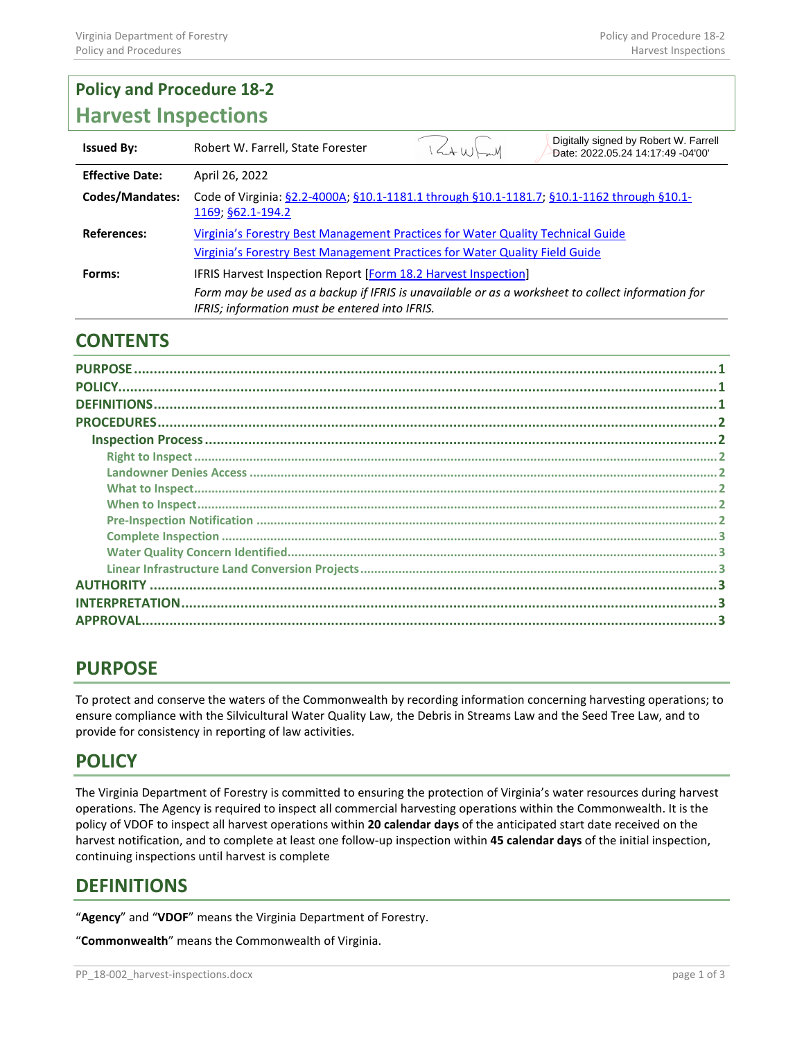# **Policy and Procedure 18-2 Harvest Inspections**

| <b>Issued By:</b>      | Robert W. Farrell, State Forester                                                                                                                              | $\left\langle A(u)\right\rangle_{m}M$ | Digitally signed by Robert W. Farrell<br>Date: 2022.05.24 14:17:49 -04'00' |
|------------------------|----------------------------------------------------------------------------------------------------------------------------------------------------------------|---------------------------------------|----------------------------------------------------------------------------|
| <b>Effective Date:</b> | April 26, 2022                                                                                                                                                 |                                       |                                                                            |
| <b>Codes/Mandates:</b> | Code of Virginia: §2.2-4000A; §10.1-1181.1 through §10.1-1181.7; §10.1-1162 through §10.1-<br>1169; §62.1-194.2                                                |                                       |                                                                            |
| <b>References:</b>     | Virginia's Forestry Best Management Practices for Water Quality Technical Guide<br>Virginia's Forestry Best Management Practices for Water Quality Field Guide |                                       |                                                                            |
|                        |                                                                                                                                                                |                                       |                                                                            |
| Forms:                 | IFRIS Harvest Inspection Report [Form 18.2 Harvest Inspection]                                                                                                 |                                       |                                                                            |
|                        | Form may be used as a backup if IFRIS is unavailable or as a worksheet to collect information for<br>IFRIS; information must be entered into IFRIS.            |                                       |                                                                            |

# **CONTENTS**

| <b>PURPOSE</b>  |  |  |
|-----------------|--|--|
|                 |  |  |
|                 |  |  |
|                 |  |  |
|                 |  |  |
|                 |  |  |
|                 |  |  |
|                 |  |  |
|                 |  |  |
|                 |  |  |
|                 |  |  |
|                 |  |  |
|                 |  |  |
|                 |  |  |
|                 |  |  |
| <b>APPROVAL</b> |  |  |
|                 |  |  |

# <span id="page-0-0"></span>**PURPOSE**

To protect and conserve the waters of the Commonwealth by recording information concerning harvesting operations; to ensure compliance with the Silvicultural Water Quality Law, the Debris in Streams Law and the Seed Tree Law, and to provide for consistency in reporting of law activities.

# <span id="page-0-1"></span>**POLICY**

The Virginia Department of Forestry is committed to ensuring the protection of Virginia's water resources during harvest operations. The Agency is required to inspect all commercial harvesting operations within the Commonwealth. It is the policy of VDOF to inspect all harvest operations within **20 calendar days** of the anticipated start date received on the harvest notification, and to complete at least one follow-up inspection within **45 calendar days** of the initial inspection, continuing inspections until harvest is complete

## <span id="page-0-2"></span>**DEFINITIONS**

"**Agency**" and "**VDOF**" means the Virginia Department of Forestry.

"**Commonwealth**" means the Commonwealth of Virginia.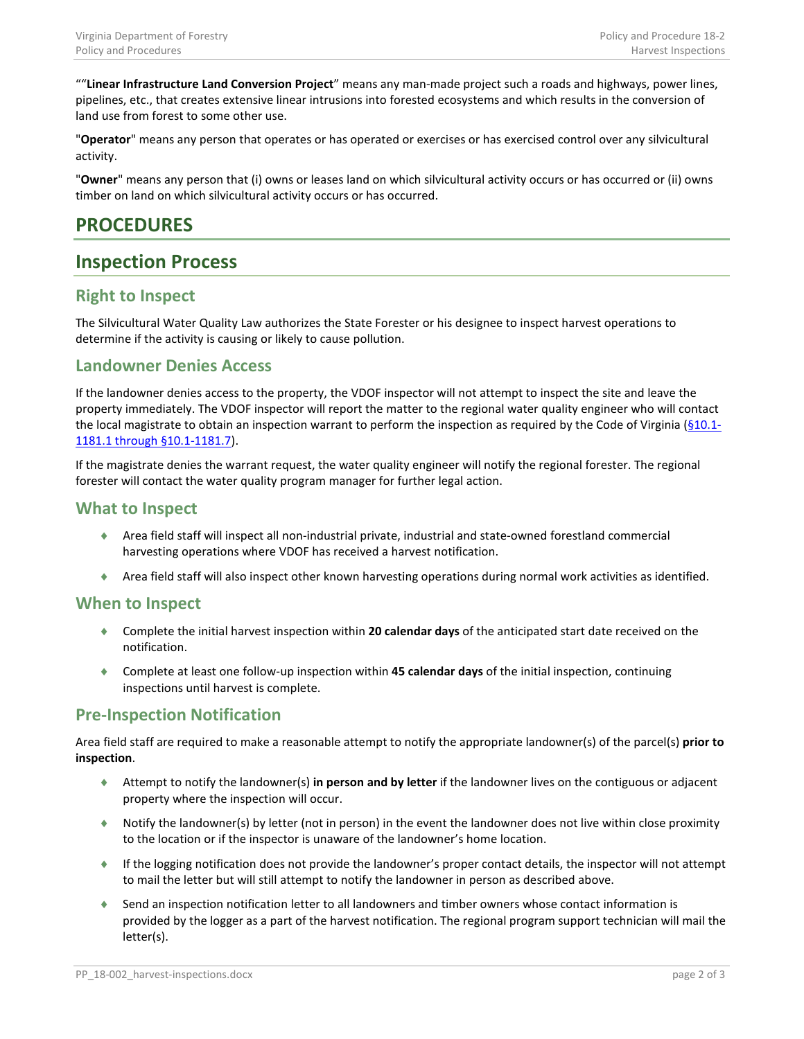""**Linear Infrastructure Land Conversion Project**" means any man-made project such a roads and highways, power lines, pipelines, etc., that creates extensive linear intrusions into forested ecosystems and which results in the conversion of land use from forest to some other use.

"**Operator**" means any person that operates or has operated or exercises or has exercised control over any silvicultural activity.

"**Owner**" means any person that (i) owns or leases land on which silvicultural activity occurs or has occurred or (ii) owns timber on land on which silvicultural activity occurs or has occurred.

# <span id="page-1-0"></span>**PROCEDURES**

## <span id="page-1-1"></span>**Inspection Process**

### <span id="page-1-2"></span>**Right to Inspect**

The Silvicultural Water Quality Law authorizes the State Forester or his designee to inspect harvest operations to determine if the activity is causing or likely to cause pollution.

### <span id="page-1-3"></span>**Landowner Denies Access**

If the landowner denies access to the property, the VDOF inspector will not attempt to inspect the site and leave the property immediately. The VDOF inspector will report the matter to the regional water quality engineer who will contact the local magistrate to obtain an inspection warrant to perform the inspection as required by the Code of Virginia  $(§10.1-$ [1181.1 through §10.1-1181.7\)](http://law.lis.virginia.gov/vacodefull/title10.1/chapter11/article12/).

If the magistrate denies the warrant request, the water quality engineer will notify the regional forester. The regional forester will contact the water quality program manager for further legal action.

### <span id="page-1-4"></span>**What to Inspect**

- ♦ Area field staff will inspect all non-industrial private, industrial and state-owned forestland commercial harvesting operations where VDOF has received a harvest notification.
- ♦ Area field staff will also inspect other known harvesting operations during normal work activities as identified.

#### <span id="page-1-5"></span>**When to Inspect**

- ♦ Complete the initial harvest inspection within **20 calendar days** of the anticipated start date received on the notification.
- ♦ Complete at least one follow-up inspection within **45 calendar days** of the initial inspection, continuing inspections until harvest is complete.

#### <span id="page-1-6"></span>**Pre-Inspection Notification**

Area field staff are required to make a reasonable attempt to notify the appropriate landowner(s) of the parcel(s) **prior to inspection**.

- ♦ Attempt to notify the landowner(s) **in person and by letter** if the landowner lives on the contiguous or adjacent property where the inspection will occur.
- ♦ Notify the landowner(s) by letter (not in person) in the event the landowner does not live within close proximity to the location or if the inspector is unaware of the landowner's home location.
- ♦ If the logging notification does not provide the landowner's proper contact details, the inspector will not attempt to mail the letter but will still attempt to notify the landowner in person as described above.
- ♦ Send an inspection notification letter to all landowners and timber owners whose contact information is provided by the logger as a part of the harvest notification. The regional program support technician will mail the letter(s).